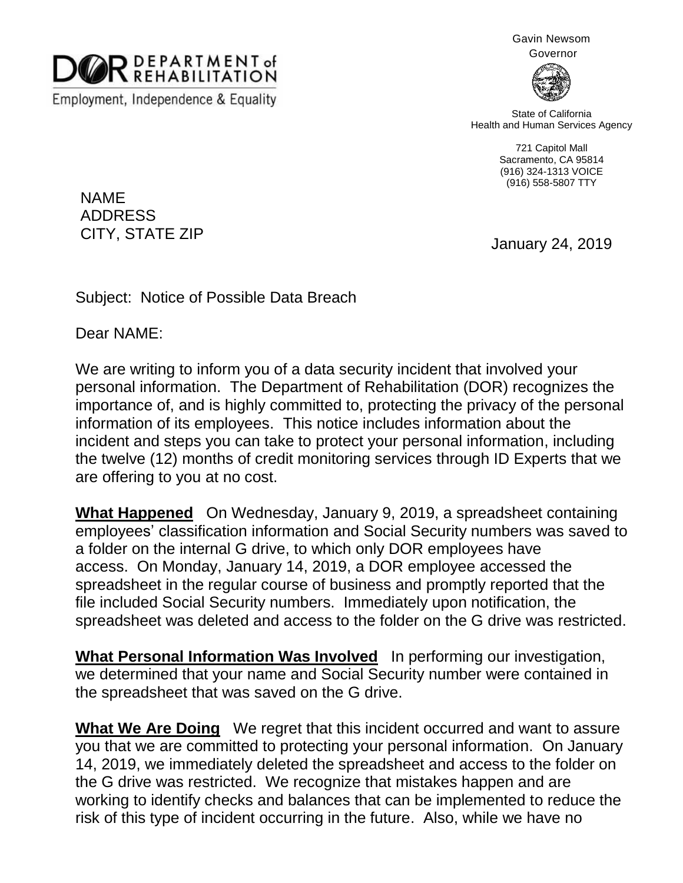

Employment, Independence & Equality

Gavin Newsom

Governor



State of California Health and Human Services Agency

> 721 Capitol Mall Sacramento, CA 95814 (916) 324-1313 VOICE (916) 558-5807 TTY

NAME ADDRESS CITY, STATE ZIP

January 24, 2019

Subject: Notice of Possible Data Breach

Dear NAME:

We are writing to inform you of a data security incident that involved your personal information. The Department of Rehabilitation (DOR) recognizes the importance of, and is highly committed to, protecting the privacy of the personal information of its employees. This notice includes information about the incident and steps you can take to protect your personal information, including the twelve (12) months of credit monitoring services through ID Experts that we are offering to you at no cost.

**What Happened** On Wednesday, January 9, 2019, a spreadsheet containing employees' classification information and Social Security numbers was saved to a folder on the internal G drive, to which only DOR employees have access. On Monday, January 14, 2019, a DOR employee accessed the spreadsheet in the regular course of business and promptly reported that the file included Social Security numbers. Immediately upon notification, the spreadsheet was deleted and access to the folder on the G drive was restricted.

**What Personal Information Was Involved** In performing our investigation, we determined that your name and Social Security number were contained in the spreadsheet that was saved on the G drive.

**What We Are Doing** We regret that this incident occurred and want to assure you that we are committed to protecting your personal information. On January 14, 2019, we immediately deleted the spreadsheet and access to the folder on the G drive was restricted. We recognize that mistakes happen and are working to identify checks and balances that can be implemented to reduce the risk of this type of incident occurring in the future. Also, while we have no